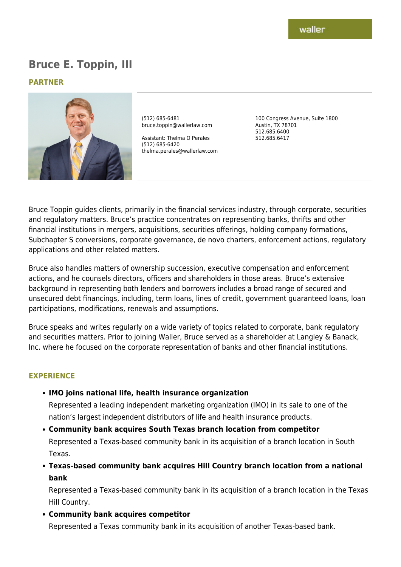# **Bruce E. Toppin, III**

#### **PARTNER**



(512) 685-6481 bruce.toppin@wallerlaw.com

Assistant: Thelma O Perales (512) 685-6420 thelma.perales@wallerlaw.com 100 Congress Avenue, Suite 1800 Austin, TX 78701 512.685.6400 512.685.6417

Bruce Toppin guides clients, primarily in the financial services industry, through corporate, securities and regulatory matters. Bruce's practice concentrates on representing banks, thrifts and other financial institutions in mergers, acquisitions, securities offerings, holding company formations, Subchapter S conversions, corporate governance, de novo charters, enforcement actions, regulatory applications and other related matters.

Bruce also handles matters of ownership succession, executive compensation and enforcement actions, and he counsels directors, officers and shareholders in those areas. Bruce's extensive background in representing both lenders and borrowers includes a broad range of secured and unsecured debt financings, including, term loans, lines of credit, government guaranteed loans, loan participations, modifications, renewals and assumptions.

Bruce speaks and writes regularly on a wide variety of topics related to corporate, bank regulatory and securities matters. Prior to joining Waller, Bruce served as a shareholder at Langley & Banack, Inc. where he focused on the corporate representation of banks and other financial institutions.

#### **EXPERIENCE**

**IMO joins national life, health insurance organization**

Represented a leading independent marketing organization (IMO) in its sale to one of the nation's largest independent distributors of life and health insurance products.

- **Community bank acquires South Texas branch location from competitor** Represented a Texas-based community bank in its acquisition of a branch location in South Texas.
- **Texas-based community bank acquires Hill Country branch location from a national bank**

Represented a Texas-based community bank in its acquisition of a branch location in the Texas Hill Country.

**Community bank acquires competitor**

Represented a Texas community bank in its acquisition of another Texas-based bank.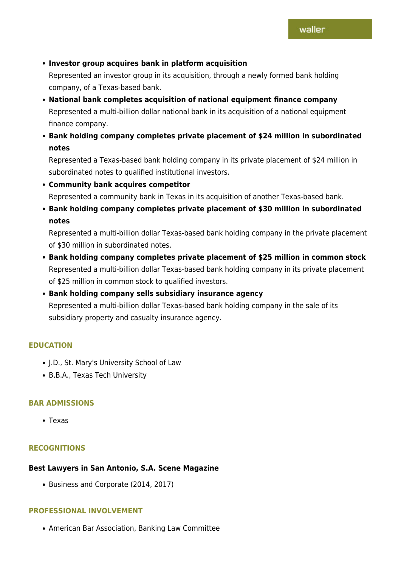# **Investor group acquires bank in platform acquisition**

Represented an investor group in its acquisition, through a newly formed bank holding company, of a Texas-based bank.

- **National bank completes acquisition of national equipment finance company** Represented a multi-billion dollar national bank in its acquisition of a national equipment finance company.
- **Bank holding company completes private placement of \$24 million in subordinated notes**

Represented a Texas-based bank holding company in its private placement of \$24 million in subordinated notes to qualified institutional investors.

- **Community bank acquires competitor** Represented a community bank in Texas in its acquisition of another Texas-based bank.
- **Bank holding company completes private placement of \$30 million in subordinated notes**

Represented a multi-billion dollar Texas-based bank holding company in the private placement of \$30 million in subordinated notes.

- **Bank holding company completes private placement of \$25 million in common stock** Represented a multi-billion dollar Texas-based bank holding company in its private placement of \$25 million in common stock to qualified investors.
- **Bank holding company sells subsidiary insurance agency** Represented a multi-billion dollar Texas-based bank holding company in the sale of its subsidiary property and casualty insurance agency.

## **EDUCATION**

- J.D., St. Mary's University School of Law
- B.B.A., Texas Tech University

## **BAR ADMISSIONS**

Texas

# **RECOGNITIONS**

## **Best Lawyers in San Antonio, S.A. Scene Magazine**

• Business and Corporate (2014, 2017)

## **PROFESSIONAL INVOLVEMENT**

American Bar Association, Banking Law Committee